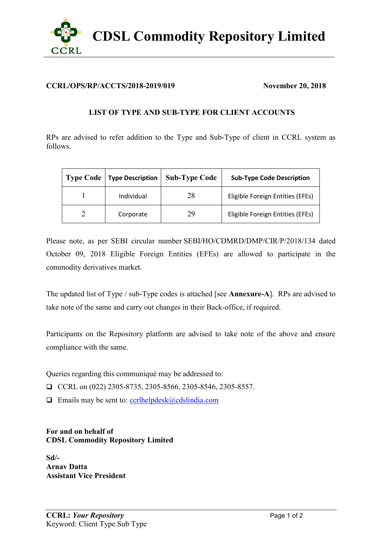

## **CCRL/OPS/RP/ACCTS/2018-2019/019 November 20, 2018**

## **LIST OF TYPE AND SUB-TYPE FOR CLIENT ACCOUNTS**

RPs are advised to refer addition to the Type and Sub-Type of client in CCRL system as follows.

| <b>Type Code</b> | <b>Type Description</b> | <b>Sub-Type Code</b> | <b>Sub-Type Code Description</b> |
|------------------|-------------------------|----------------------|----------------------------------|
|                  | Individual              | 28                   | Eligible Foreign Entities (EFEs) |
|                  | Corporate               | 29                   | Eligible Foreign Entities (EFEs) |

Please note, as per SEBI circular number SEBI/HO/CDMRD/DMP/CIR/P/2018/134 dated October 09, 2018 Eligible Foreign Entities (EFEs) are allowed to participate in the commodity derivatives market.

The updated list of Type / sub-Type codes is attached [see **Annexure-A**]. RPs are advised to take note of the same and carry out changes in their Back-office, if required.

Participants on the Repository platform are advised to take note of the above and ensure compliance with the same.

Queries regarding this communiqué may be addressed to:

CCRL on  $(022)$  2305-8735, 2305-8566, 2305-8546, 2305-8557.

 $\Box$  Emails may be sent to: [ccrlhelpdesk@cdslindia.com](mailto:ccrlhelpdesk@cdslindia.com)

**For and on behalf of CDSL Commodity Repository Limited**

**Sd/- Arnav Datta Assistant Vice President**